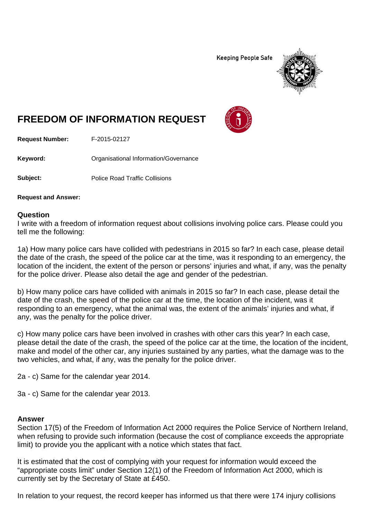**Keeping People Safe** 



## **FREEDOM OF INFORMATION REQUEST**

**Request Number:** F-2015-02127

Keyword: **Communistry Communisties** Organisational Information/Governance

**Subject:** Police Road Traffic Collisions

**Request and Answer:**

## **Question**

I write with a freedom of information request about collisions involving police cars. Please could you tell me the following:

1a) How many police cars have collided with pedestrians in 2015 so far? In each case, please detail the date of the crash, the speed of the police car at the time, was it responding to an emergency, the location of the incident, the extent of the person or persons' injuries and what, if any, was the penalty for the police driver. Please also detail the age and gender of the pedestrian.

b) How many police cars have collided with animals in 2015 so far? In each case, please detail the date of the crash, the speed of the police car at the time, the location of the incident, was it responding to an emergency, what the animal was, the extent of the animals' injuries and what, if any, was the penalty for the police driver.

c) How many police cars have been involved in crashes with other cars this year? In each case, please detail the date of the crash, the speed of the police car at the time, the location of the incident, make and model of the other car, any injuries sustained by any parties, what the damage was to the two vehicles, and what, if any, was the penalty for the police driver.

2a - c) Same for the calendar year 2014.

3a - c) Same for the calendar year 2013.

## **Answer**

Section 17(5) of the Freedom of Information Act 2000 requires the Police Service of Northern Ireland, when refusing to provide such information (because the cost of compliance exceeds the appropriate limit) to provide you the applicant with a notice which states that fact.

It is estimated that the cost of complying with your request for information would exceed the "appropriate costs limit" under Section 12(1) of the Freedom of Information Act 2000, which is currently set by the Secretary of State at £450.

In relation to your request, the record keeper has informed us that there were 174 injury collisions